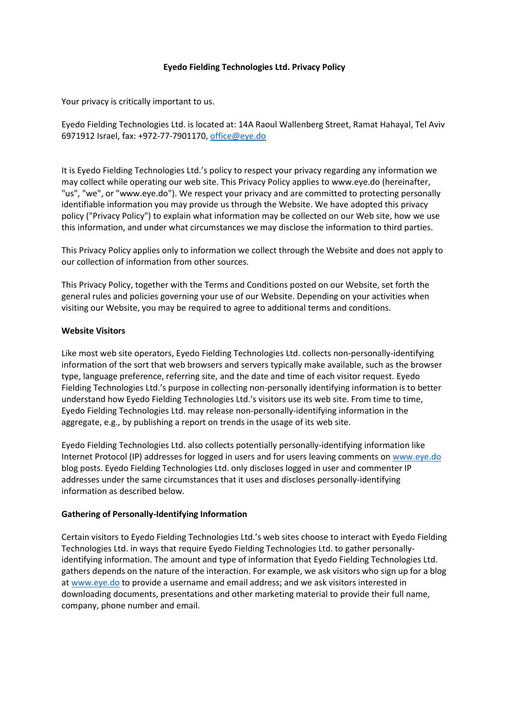## **Eyedo Fielding Technologies Ltd. Privacy Policy**

Your privacy is critically important to us.

Eyedo Fielding Technologies Ltd. is located at: 14A Raoul Wallenberg Street, Ramat Hahayal, Tel Aviv 6971912 Israel, fax: +972-77-7901170, office@eye.do

It is Eyedo Fielding Technologies Ltd.'s policy to respect your privacy regarding any information we may collect while operating our web site. This Privacy Policy applies to www.eye.do (hereinafter, "us", "we", or "www.eye.do"). We respect your privacy and are committed to protecting personally identifiable information you may provide us through the Website. We have adopted this privacy policy ("Privacy Policy") to explain what information may be collected on our Web site, how we use this information, and under what circumstances we may disclose the information to third parties.

This Privacy Policy applies only to information we collect through the Website and does not apply to our collection of information from other sources.

This Privacy Policy, together with the Terms and Conditions posted on our Website, set forth the general rules and policies governing your use of our Website. Depending on your activities when visiting our Website, you may be required to agree to additional terms and conditions.

## **Website Visitors**

Like most web site operators, Eyedo Fielding Technologies Ltd. collects non-personally-identifying information of the sort that web browsers and servers typically make available, such as the browser type, language preference, referring site, and the date and time of each visitor request. Eyedo Fielding Technologies Ltd.'s purpose in collecting non-personally identifying information is to better understand how Eyedo Fielding Technologies Ltd.'s visitors use its web site. From time to time, Eyedo Fielding Technologies Ltd. may release non-personally-identifying information in the aggregate, e.g., by publishing a report on trends in the usage of its web site.

Eyedo Fielding Technologies Ltd. also collects potentially personally-identifying information like Internet Protocol (IP) addresses for logged in users and for users leaving comments o[n www.eye.do](http://www.eye.do/) blog posts. Eyedo Fielding Technologies Ltd. only discloses logged in user and commenter IP addresses under the same circumstances that it uses and discloses personally-identifying information as described below.

## **Gathering of Personally-Identifying Information**

Certain visitors to Eyedo Fielding Technologies Ltd.'s web sites choose to interact with Eyedo Fielding Technologies Ltd. in ways that require Eyedo Fielding Technologies Ltd. to gather personallyidentifying information. The amount and type of information that Eyedo Fielding Technologies Ltd. gathers depends on the nature of the interaction. For example, we ask visitors who sign up for a blog a[t www.eye.do](http://www.eye.do/) to provide a username and email address; and we ask visitors interested in downloading documents, presentations and other marketing material to provide their full name, company, phone number and email.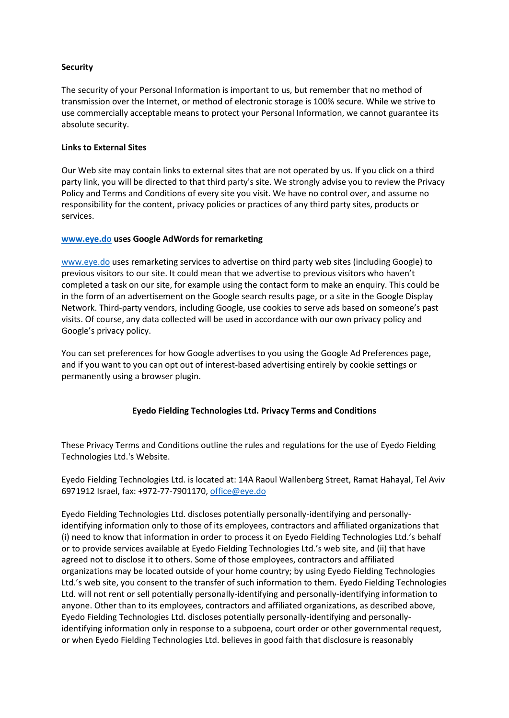## **Security**

The security of your Personal Information is important to us, but remember that no method of transmission over the Internet, or method of electronic storage is 100% secure. While we strive to use commercially acceptable means to protect your Personal Information, we cannot guarantee its absolute security.

## **Links to External Sites**

Our Web site may contain links to external sites that are not operated by us. If you click on a third party link, you will be directed to that third party's site. We strongly advise you to review the Privacy Policy and Terms and Conditions of every site you visit. We have no control over, and assume no responsibility for the content, privacy policies or practices of any third party sites, products or services.

## **[www.eye.do](http://www.eye.do/) uses Google AdWords for remarketing**

[www.eye.do](http://www.eye.do/) uses remarketing services to advertise on third party web sites (including Google) to previous visitors to our site. It could mean that we advertise to previous visitors who haven't completed a task on our site, for example using the contact form to make an enquiry. This could be in the form of an advertisement on the Google search results page, or a site in the Google Display Network. Third-party vendors, including Google, use cookies to serve ads based on someone's past visits. Of course, any data collected will be used in accordance with our own privacy policy and Google's privacy policy.

You can set preferences for how Google advertises to you using the Google Ad Preferences page, and if you want to you can opt out of interest-based advertising entirely by cookie settings or permanently using a browser plugin.

## **Eyedo Fielding Technologies Ltd. Privacy Terms and Conditions**

These Privacy Terms and Conditions outline the rules and regulations for the use of Eyedo Fielding Technologies Ltd.'s Website.

Eyedo Fielding Technologies Ltd. is located at: 14A Raoul Wallenberg Street, Ramat Hahayal, Tel Aviv 6971912 Israel, fax: +972-77-7901170, office@eye.do

Eyedo Fielding Technologies Ltd. discloses potentially personally-identifying and personallyidentifying information only to those of its employees, contractors and affiliated organizations that (i) need to know that information in order to process it on Eyedo Fielding Technologies Ltd.'s behalf or to provide services available at Eyedo Fielding Technologies Ltd.'s web site, and (ii) that have agreed not to disclose it to others. Some of those employees, contractors and affiliated organizations may be located outside of your home country; by using Eyedo Fielding Technologies Ltd.'s web site, you consent to the transfer of such information to them. Eyedo Fielding Technologies Ltd. will not rent or sell potentially personally-identifying and personally-identifying information to anyone. Other than to its employees, contractors and affiliated organizations, as described above, Eyedo Fielding Technologies Ltd. discloses potentially personally-identifying and personallyidentifying information only in response to a subpoena, court order or other governmental request, or when Eyedo Fielding Technologies Ltd. believes in good faith that disclosure is reasonably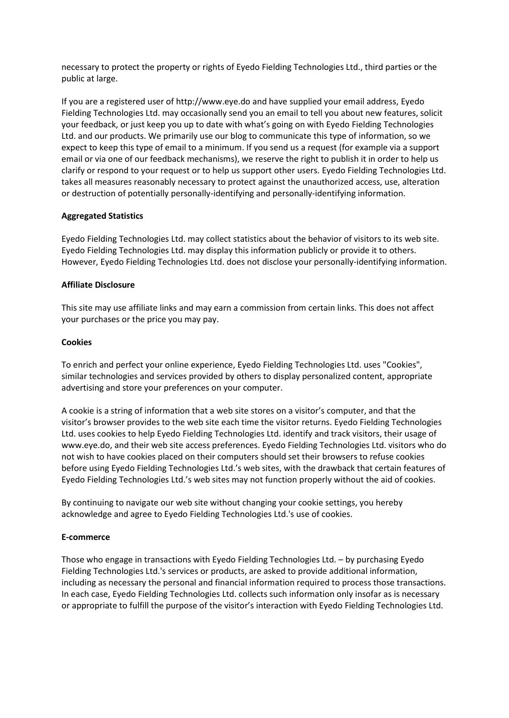necessary to protect the property or rights of Eyedo Fielding Technologies Ltd., third parties or the public at large.

If you are a registered user of http://www.eye.do and have supplied your email address, Eyedo Fielding Technologies Ltd. may occasionally send you an email to tell you about new features, solicit your feedback, or just keep you up to date with what's going on with Eyedo Fielding Technologies Ltd. and our products. We primarily use our blog to communicate this type of information, so we expect to keep this type of email to a minimum. If you send us a request (for example via a support email or via one of our feedback mechanisms), we reserve the right to publish it in order to help us clarify or respond to your request or to help us support other users. Eyedo Fielding Technologies Ltd. takes all measures reasonably necessary to protect against the unauthorized access, use, alteration or destruction of potentially personally-identifying and personally-identifying information.

## **Aggregated Statistics**

Eyedo Fielding Technologies Ltd. may collect statistics about the behavior of visitors to its web site. Eyedo Fielding Technologies Ltd. may display this information publicly or provide it to others. However, Eyedo Fielding Technologies Ltd. does not disclose your personally-identifying information.

## **Affiliate Disclosure**

This site may use affiliate links and may earn a commission from certain links. This does not affect your purchases or the price you may pay.

## **Cookies**

To enrich and perfect your online experience, Eyedo Fielding Technologies Ltd. uses "Cookies", similar technologies and services provided by others to display personalized content, appropriate advertising and store your preferences on your computer.

A cookie is a string of information that a web site stores on a visitor's computer, and that the visitor's browser provides to the web site each time the visitor returns. Eyedo Fielding Technologies Ltd. uses cookies to help Eyedo Fielding Technologies Ltd. identify and track visitors, their usage of www.eye.do, and their web site access preferences. Eyedo Fielding Technologies Ltd. visitors who do not wish to have cookies placed on their computers should set their browsers to refuse cookies before using Eyedo Fielding Technologies Ltd.'s web sites, with the drawback that certain features of Eyedo Fielding Technologies Ltd.'s web sites may not function properly without the aid of cookies.

By continuing to navigate our web site without changing your cookie settings, you hereby acknowledge and agree to Eyedo Fielding Technologies Ltd.'s use of cookies.

# **E-commerce**

Those who engage in transactions with Eyedo Fielding Technologies Ltd. – by purchasing Eyedo Fielding Technologies Ltd.'s services or products, are asked to provide additional information, including as necessary the personal and financial information required to process those transactions. In each case, Eyedo Fielding Technologies Ltd. collects such information only insofar as is necessary or appropriate to fulfill the purpose of the visitor's interaction with Eyedo Fielding Technologies Ltd.